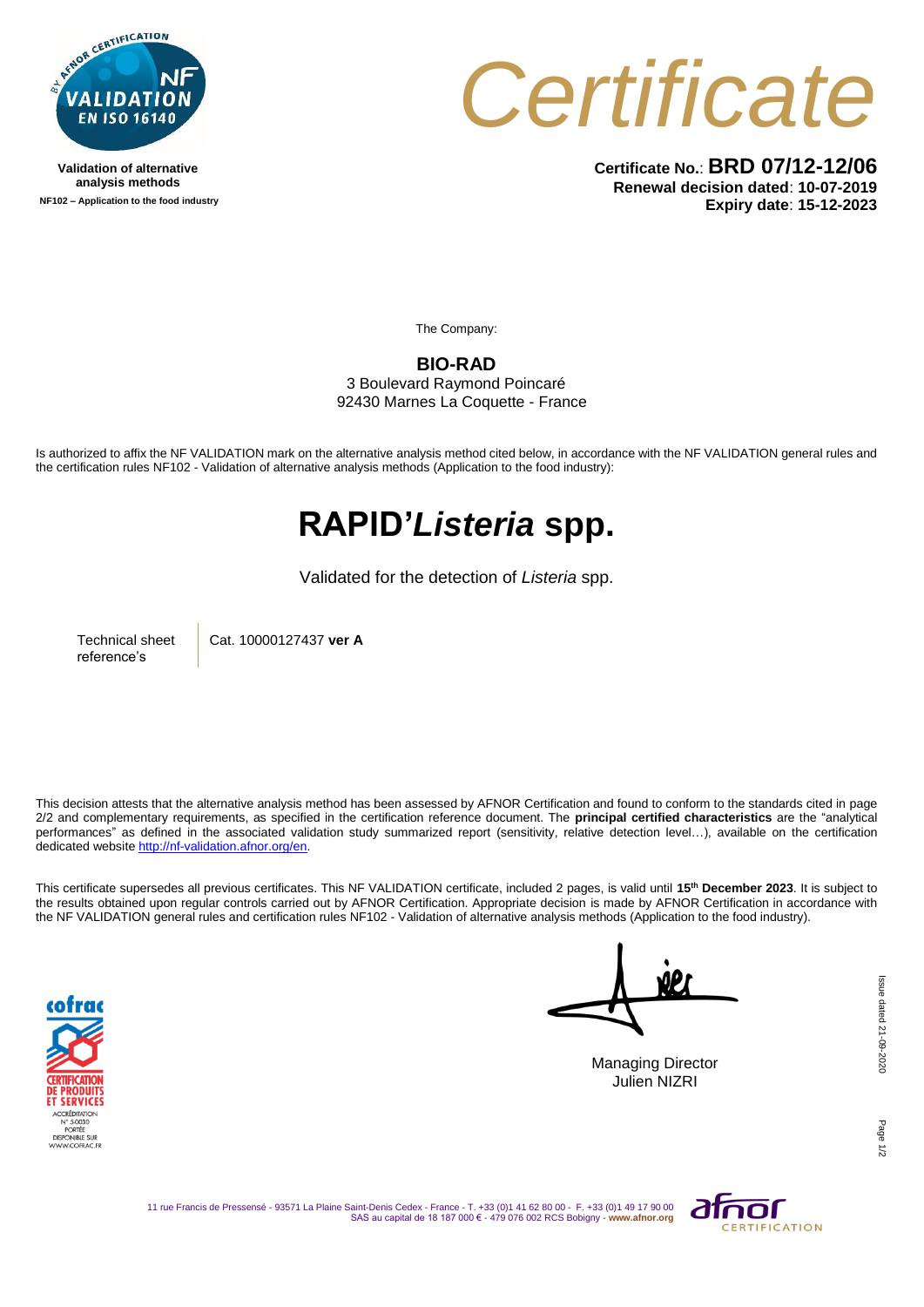

**Validation of alternative analysis methods NF102 – Application to the food industry** *Certificate*

**Certificate No.**: **BRD 07/12-12/06 Renewal decision dated**: **10-07-2019 Expiry date**: **15-12-2023**

The Company:

**BIO-RAD** 3 Boulevard Raymond Poincaré

92430 Marnes La Coquette - France

Is authorized to affix the NF VALIDATION mark on the alternative analysis method cited below, in accordance with the NF VALIDATION general rules and the certification rules NF102 - Validation of alternative analysis methods (Application to the food industry):

## **RAPID'***Listeria* **spp.**

Validated for the detection of *Listeria* spp.

Technical sheet reference's

Cat. 10000127437 **ver A**

This decision attests that the alternative analysis method has been assessed by AFNOR Certification and found to conform to the standards cited in page 2/2 and complementary requirements, as specified in the certification reference document. The **principal certified characteristics** are the "analytical performances" as defined in the associated validation study summarized report (sensitivity, relative detection level…), available on the certification dedicated websit[e http://nf-validation.afnor.org/en.](http://nf-validation.afnor.org/en)

This certificate supersedes all previous certificates. This NF VALIDATION certificate, included 2 pages, is valid until **15th December 2023**. It is subject to the results obtained upon regular controls carried out by AFNOR Certification. Appropriate decision is made by AFNOR Certification in accordance with the NF VALIDATION general rules and certification rules NF102 - Validation of alternative analysis methods (Application to the food industry).



NP.

Managing Director Julien NIZRI

Page

11 rue Francis de Pressensé - 93571 La Plaine Saint-Denis Cedex - France - T. +33 (0)1 41 62 80 00 - F. +33 (0)1 49 17 90 00 SAS au capital de 18 187 000 € - 479 076 002 RCS Bobigny - **www.afnor.org**